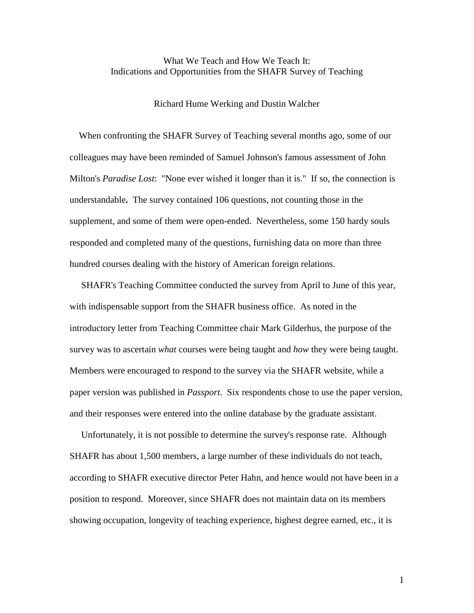# What We Teach and How We Teach It: Indications and Opportunities from the SHAFR Survey of Teaching

Richard Hume Werking and Dustin Walcher

 When confronting the SHAFR Survey of Teaching several months ago, some of our colleagues may have been reminded of Samuel Johnson's famous assessment of John Milton's *Paradise Lost*: "None ever wished it longer than it is." If so, the connection is understandable**.** The survey contained 106 questions, not counting those in the supplement, and some of them were open-ended. Nevertheless, some 150 hardy souls responded and completed many of the questions, furnishing data on more than three hundred courses dealing with the history of American foreign relations.

 SHAFR's Teaching Committee conducted the survey from April to June of this year, with indispensable support from the SHAFR business office. As noted in the introductory letter from Teaching Committee chair Mark Gilderhus, the purpose of the survey was to ascertain *what* courses were being taught and *how* they were being taught. Members were encouraged to respond to the survey via the SHAFR website, while a paper version was published in *Passport*. Six respondents chose to use the paper version, and their responses were entered into the online database by the graduate assistant.

 Unfortunately, it is not possible to determine the survey's response rate. Although SHAFR has about 1,500 members, a large number of these individuals do not teach, according to SHAFR executive director Peter Hahn, and hence would not have been in a position to respond. Moreover, since SHAFR does not maintain data on its members showing occupation, longevity of teaching experience, highest degree earned, etc., it is

1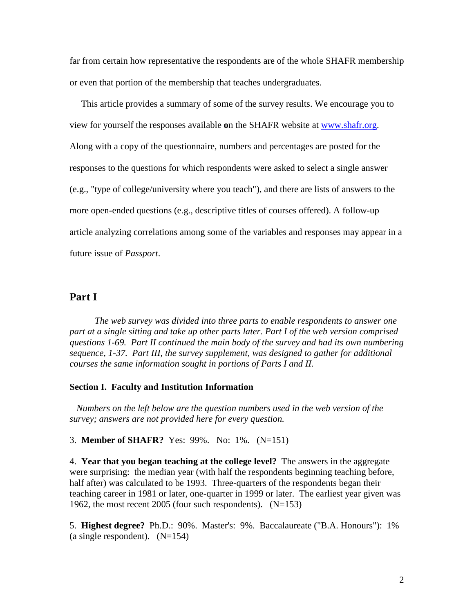far from certain how representative the respondents are of the whole SHAFR membership or even that portion of the membership that teaches undergraduates.

 This article provides a summary of some of the survey results. We encourage you to view for yourself the responses available **o**n the SHAFR website at www.shafr.org. Along with a copy of the questionnaire, numbers and percentages are posted for the responses to the questions for which respondents were asked to select a single answer (e.g., "type of college/university where you teach"), and there are lists of answers to the more open-ended questions (e.g., descriptive titles of courses offered). A follow-up article analyzing correlations among some of the variables and responses may appear in a future issue of *Passport*.

# **Part I**

*The web survey was divided into three parts to enable respondents to answer one part at a single sitting and take up other parts later. Part I of the web version comprised questions 1-69. Part II continued the main body of the survey and had its own numbering sequence, 1-37. Part III, the survey supplement, was designed to gather for additional courses the same information sought in portions of Parts I and II.* 

### **Section I. Faculty and Institution Information**

 *Numbers on the left below are the question numbers used in the web version of the survey; answers are not provided here for every question.* 

3. **Member of SHAFR?** Yes: 99%. No: 1%. (N=151)

4. **Year that you began teaching at the college level?** The answers in the aggregate were surprising: the median year (with half the respondents beginning teaching before, half after) was calculated to be 1993. Three-quarters of the respondents began their teaching career in 1981 or later, one-quarter in 1999 or later. The earliest year given was 1962, the most recent 2005 (four such respondents). (N=153)

5. **Highest degree?** Ph.D.: 90%. Master's: 9%. Baccalaureate ("B.A. Honours"): 1% (a single respondent).  $(N=154)$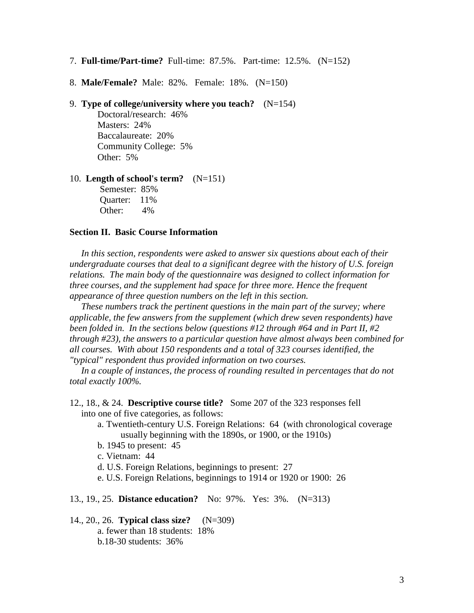- 7. **Full-time/Part-time?** Full-time: 87.5%. Part-time: 12.5%. (N=152)
- 8. **Male/Female?** Male: 82%. Female: 18%. (N=150)
- 9. **Type of college/university where you teach?** (N=154)

 Doctoral/research: 46% Masters: 24% Baccalaureate: 20% Community College: 5% Other: 5%

10. **Length of school's term?** (N=151)

 Semester: 85% Quarter: 11% Other: 4%

### **Section II. Basic Course Information**

 *In this section, respondents were asked to answer six questions about each of their undergraduate courses that deal to a significant degree with the history of U.S. foreign relations. The main body of the questionnaire was designed to collect information for three courses, and the supplement had space for three more. Hence the frequent appearance of three question numbers on the left in this section.* 

 *These numbers track the pertinent questions in the main part of the survey; where applicable, the few answers from the supplement (which drew seven respondents) have been folded in. In the sections below (questions #12 through #64 and in Part II, #2 through #23), the answers to a particular question have almost always been combined for all courses. With about 150 respondents and a total of 323 courses identified, the "typical" respondent thus provided information on two courses.*

 *In a couple of instances, the process of rounding resulted in percentages that do not total exactly 100%.* 

- 12., 18., & 24. **Descriptive course title?** Some 207 of the 323 responses fell into one of five categories, as follows:
	- a. Twentieth-century U.S. Foreign Relations: 64 (with chronological coverage usually beginning with the 1890s, or 1900, or the 1910s)
	- b. 1945 to present: 45
	- c. Vietnam: 44
	- d. U.S. Foreign Relations, beginnings to present: 27
	- e. U.S. Foreign Relations, beginnings to 1914 or 1920 or 1900: 26
- 13., 19., 25. **Distance education?** No: 97%. Yes: 3%. (N=313)

14., 20., 26. **Typical class size?** (N=309) a. fewer than 18 students: 18% b.18-30 students: 36%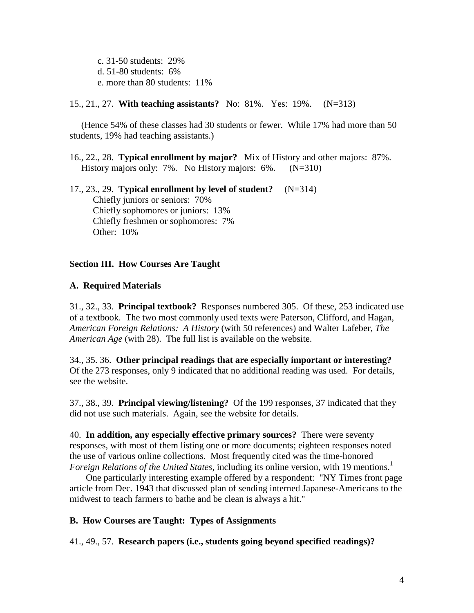c. 31-50 students: 29% d. 51-80 students: 6% e. more than 80 students: 11%

15., 21., 27. **With teaching assistants?** No: 81%. Yes: 19%. (N=313)

 (Hence 54% of these classes had 30 students or fewer. While 17% had more than 50 students, 19% had teaching assistants.)

16., 22., 28. **Typical enrollment by major?** Mix of History and other majors: 87%. History majors only: 7%. No History majors: 6%. (N=310)

17., 23., 29. **Typical enrollment by level of student?** (N=314) Chiefly juniors or seniors: 70% Chiefly sophomores or juniors: 13% Chiefly freshmen or sophomores: 7% Other: 10%

# **Section III. How Courses Are Taught**

### **A. Required Materials**

31., 32., 33. **Principal textbook?** Responses numbered 305. Of these, 253 indicated use of a textbook. The two most commonly used texts were Paterson, Clifford, and Hagan, *American Foreign Relations: A History* (with 50 references) and Walter Lafeber, *The American Age* (with 28). The full list is available on the website.

34., 35. 36. **Other principal readings that are especially important or interesting?** Of the 273 responses, only 9 indicated that no additional reading was used. For details, see the website.

37., 38., 39. **Principal viewing/listening?** Of the 199 responses, 37 indicated that they did not use such materials. Again, see the website for details.

40. **In addition, any especially effective primary sources?** There were seventy responses, with most of them listing one or more documents; eighteen responses noted the use of various online collections. Most frequently cited was the time-honored *Foreign Relations of the United States, including its online version, with 19 mentions.*<sup>1</sup>

 One particularly interesting example offered by a respondent: "NY Times front page article from Dec. 1943 that discussed plan of sending interned Japanese-Americans to the midwest to teach farmers to bathe and be clean is always a hit."

# **B. How Courses are Taught: Types of Assignments**

41., 49., 57. **Research papers (i.e., students going beyond specified readings)?**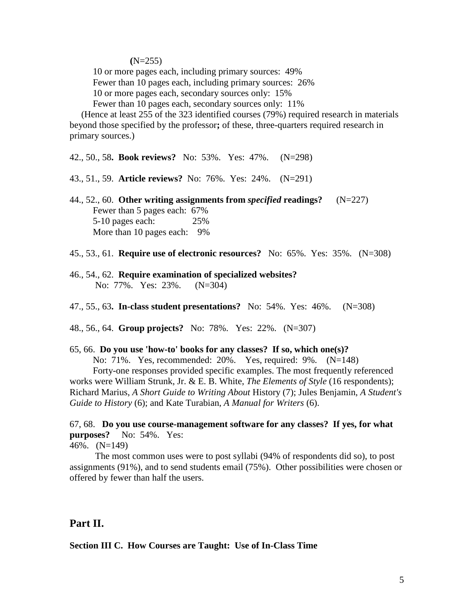#### $(N=255)$

10 or more pages each, including primary sources: 49%

Fewer than 10 pages each, including primary sources: 26%

10 or more pages each, secondary sources only: 15%

Fewer than 10 pages each, secondary sources only: 11%

 (Hence at least 255 of the 323 identified courses (79%) required research in materials beyond those specified by the professor**;** of these, three-quarters required research in primary sources.)

42., 50., 58**. Book reviews?** No: 53%. Yes: 47%. (N=298)

- 43., 51., 59. **Article reviews?** No: 76%. Yes: 24%. (N=291)
- 44., 52., 60. **Other writing assignments from** *specified* **readings?** (N=227) Fewer than 5 pages each: 67% 5-10 pages each: 25% More than 10 pages each: 9%
- 45., 53., 61. **Require use of electronic resources?** No: 65%. Yes: 35%. (N=308)
- 46., 54., 62. **Require examination of specialized websites?** No: 77%. Yes: 23%. (N=304)
- 47., 55., 63**. In-class student presentations?** No: 54%. Yes: 46%. (N=308)

48., 56., 64. **Group projects?** No: 78%. Yes: 22%. (N=307)

#### 65, 66. **Do you use 'how-to' books for any classes? If so, which one(s)?**

 No: 71%. Yes, recommended: 20%. Yes, required: 9%. (N=148) Forty-one responses provided specific examples. The most frequently referenced works were William Strunk, Jr. & E. B. White, *The Elements of Style* (16 respondents); Richard Marius, *A Short Guide to Writing About* History (7); Jules Benjamin, *A Student's Guide to History* (6); and Kate Turabian, *A Manual for Writers* (6).

67, 68. **Do you use course-management software for any classes? If yes, for what purposes?** No: 54%. Yes:

46%. (N=149)

 The most common uses were to post syllabi (94% of respondents did so), to post assignments (91%), and to send students email (75%). Other possibilities were chosen or offered by fewer than half the users.

# **Part II.**

**Section III C. How Courses are Taught: Use of In-Class Time**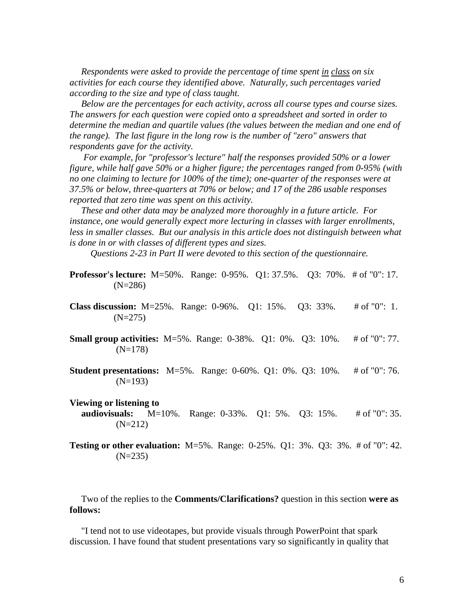*Respondents were asked to provide the percentage of time spent in class on six activities for each course they identified above. Naturally, such percentages varied according to the size and type of class taught.* 

 *Below are the percentages for each activity, across all course types and course sizes. The answers for each question were copied onto a spreadsheet and sorted in order to determine the median and quartile values (the values between the median and one end of the range). The last figure in the long row is the number of "zero" answers that respondents gave for the activity.* 

 *For example, for "professor's lecture" half the responses provided 50% or a lower figure, while half gave 50% or a higher figure; the percentages ranged from 0-95% (with no one claiming to lecture for 100% of the time); one-quarter of the responses were at 37.5% or below, three-quarters at 70% or below; and 17 of the 286 usable responses reported that zero time was spent on this activity.*

 *These and other data may be analyzed more thoroughly in a future article. For instance, one would generally expect more lecturing in classes with larger enrollments,*  less in smaller classes. But our analysis in this article does not distinguish between what *is done in or with classes of different types and sizes.* 

 *Questions 2-23 in Part II were devoted to this section of the questionnaire.* 

**Professor's lecture:** M=50%. Range: 0-95%. Q1: 37.5%. Q3: 70%. # of "0": 17. (N=286)

- **Class discussion:** M=25%. Range: 0-96%. Q1: 15%. Q3: 33%. # of "0": 1.  $(N=275)$
- **Small group activities:** M=5%. Range: 0-38%. Q1: 0%. Q3: 10%. # of "0": 77. (N=178)
- **Student presentations:** M=5%. Range: 0-60%. Q1: 0%. Q3: 10%. # of "0": 76. (N=193)
- **Viewing or listening to audiovisuals:** M=10%. Range: 0-33%. Q1: 5%. Q3: 15%. # of "0": 35.  $(N=212)$
- **Testing or other evaluation:** M=5%. Range: 0-25%. Q1: 3%. Q3: 3%. # of "0": 42. (N=235)

 Two of the replies to the **Comments/Clarifications?** question in this section **were as follows:** 

 "I tend not to use videotapes, but provide visuals through PowerPoint that spark discussion. I have found that student presentations vary so significantly in quality that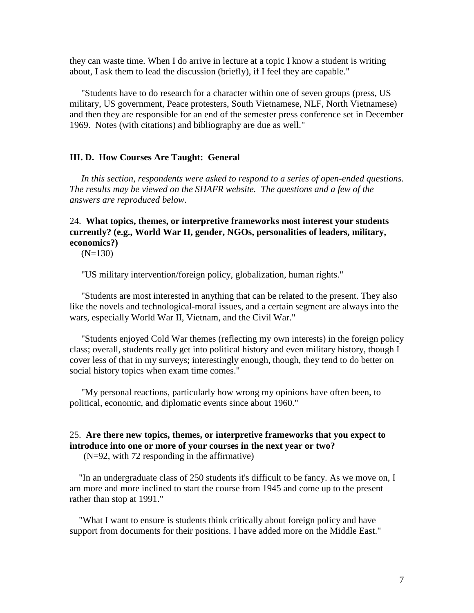they can waste time. When I do arrive in lecture at a topic I know a student is writing about, I ask them to lead the discussion (briefly), if I feel they are capable."

 "Students have to do research for a character within one of seven groups (press, US military, US government, Peace protesters, South Vietnamese, NLF, North Vietnamese) and then they are responsible for an end of the semester press conference set in December 1969. Notes (with citations) and bibliography are due as well."

### **III. D. How Courses Are Taught: General**

 *In this section, respondents were asked to respond to a series of open-ended questions. The results may be viewed on the SHAFR website. The questions and a few of the answers are reproduced below.* 

# 24. **What topics, themes, or interpretive frameworks most interest your students currently? (e.g., World War II, gender, NGOs, personalities of leaders, military, economics?)**

 $(N=130)$ 

"US military intervention/foreign policy, globalization, human rights."

 "Students are most interested in anything that can be related to the present. They also like the novels and technological-moral issues, and a certain segment are always into the wars, especially World War II, Vietnam, and the Civil War."

 "Students enjoyed Cold War themes (reflecting my own interests) in the foreign policy class; overall, students really get into political history and even military history, though I cover less of that in my surveys; interestingly enough, though, they tend to do better on social history topics when exam time comes."

 "My personal reactions, particularly how wrong my opinions have often been, to political, economic, and diplomatic events since about 1960."

# 25. **Are there new topics, themes, or interpretive frameworks that you expect to introduce into one or more of your courses in the next year or two?**

(N=92, with 72 responding in the affirmative)

 "In an undergraduate class of 250 students it's difficult to be fancy. As we move on, I am more and more inclined to start the course from 1945 and come up to the present rather than stop at 1991."

 "What I want to ensure is students think critically about foreign policy and have support from documents for their positions. I have added more on the Middle East."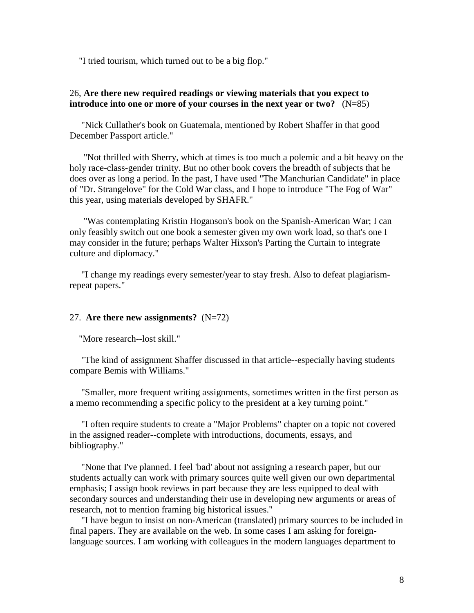"I tried tourism, which turned out to be a big flop."

# 26, **Are there new required readings or viewing materials that you expect to introduce into one or more of your courses in the next year or two?** (N=85)

 "Nick Cullather's book on Guatemala, mentioned by Robert Shaffer in that good December Passport article."

 "Not thrilled with Sherry, which at times is too much a polemic and a bit heavy on the holy race-class-gender trinity. But no other book covers the breadth of subjects that he does over as long a period. In the past, I have used "The Manchurian Candidate" in place of "Dr. Strangelove" for the Cold War class, and I hope to introduce "The Fog of War" this year, using materials developed by SHAFR."

 "Was contemplating Kristin Hoganson's book on the Spanish-American War; I can only feasibly switch out one book a semester given my own work load, so that's one I may consider in the future; perhaps Walter Hixson's Parting the Curtain to integrate culture and diplomacy."

 "I change my readings every semester/year to stay fresh. Also to defeat plagiarismrepeat papers."

### 27. **Are there new assignments?** (N=72)

"More research--lost skill."

 "The kind of assignment Shaffer discussed in that article--especially having students compare Bemis with Williams."

 "Smaller, more frequent writing assignments, sometimes written in the first person as a memo recommending a specific policy to the president at a key turning point."

 "I often require students to create a "Major Problems" chapter on a topic not covered in the assigned reader--complete with introductions, documents, essays, and bibliography."

 "None that I've planned. I feel 'bad' about not assigning a research paper, but our students actually can work with primary sources quite well given our own departmental emphasis; I assign book reviews in part because they are less equipped to deal with secondary sources and understanding their use in developing new arguments or areas of research, not to mention framing big historical issues."

 "I have begun to insist on non-American (translated) primary sources to be included in final papers. They are available on the web. In some cases I am asking for foreignlanguage sources. I am working with colleagues in the modern languages department to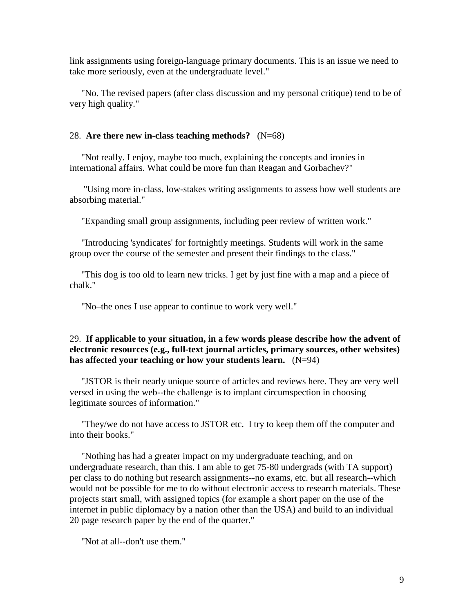link assignments using foreign-language primary documents. This is an issue we need to take more seriously, even at the undergraduate level."

 "No. The revised papers (after class discussion and my personal critique) tend to be of very high quality."

### 28. **Are there new in-class teaching methods?** (N=68)

 "Not really. I enjoy, maybe too much, explaining the concepts and ironies in international affairs. What could be more fun than Reagan and Gorbachev?"

 "Using more in-class, low-stakes writing assignments to assess how well students are absorbing material."

"Expanding small group assignments, including peer review of written work."

 "Introducing 'syndicates' for fortnightly meetings. Students will work in the same group over the course of the semester and present their findings to the class."

 "This dog is too old to learn new tricks. I get by just fine with a map and a piece of chalk."

"No–the ones I use appear to continue to work very well."

### 29. **If applicable to your situation, in a few words please describe how the advent of electronic resources (e.g., full-text journal articles, primary sources, other websites) has affected your teaching or how your students learn.** (N=94)

 "JSTOR is their nearly unique source of articles and reviews here. They are very well versed in using the web--the challenge is to implant circumspection in choosing legitimate sources of information."

 "They/we do not have access to JSTOR etc. I try to keep them off the computer and into their books."

 "Nothing has had a greater impact on my undergraduate teaching, and on undergraduate research, than this. I am able to get 75-80 undergrads (with TA support) per class to do nothing but research assignments--no exams, etc. but all research--which would not be possible for me to do without electronic access to research materials. These projects start small, with assigned topics (for example a short paper on the use of the internet in public diplomacy by a nation other than the USA) and build to an individual 20 page research paper by the end of the quarter."

"Not at all--don't use them."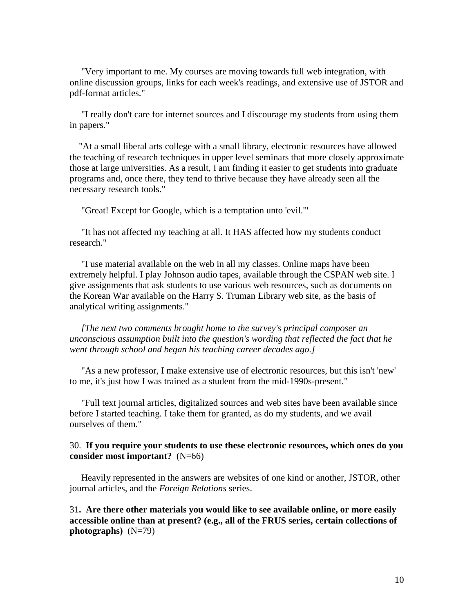"Very important to me. My courses are moving towards full web integration, with online discussion groups, links for each week's readings, and extensive use of JSTOR and pdf-format articles."

 "I really don't care for internet sources and I discourage my students from using them in papers."

 "At a small liberal arts college with a small library, electronic resources have allowed the teaching of research techniques in upper level seminars that more closely approximate those at large universities. As a result, I am finding it easier to get students into graduate programs and, once there, they tend to thrive because they have already seen all the necessary research tools."

"Great! Except for Google, which is a temptation unto 'evil.'"

 "It has not affected my teaching at all. It HAS affected how my students conduct research."

 "I use material available on the web in all my classes. Online maps have been extremely helpful. I play Johnson audio tapes, available through the CSPAN web site. I give assignments that ask students to use various web resources, such as documents on the Korean War available on the Harry S. Truman Library web site, as the basis of analytical writing assignments."

 *[The next two comments brought home to the survey's principal composer an unconscious assumption built into the question's wording that reflected the fact that he went through school and began his teaching career decades ago.]* 

 "As a new professor, I make extensive use of electronic resources, but this isn't 'new' to me, it's just how I was trained as a student from the mid-1990s-present."

 "Full text journal articles, digitalized sources and web sites have been available since before I started teaching. I take them for granted, as do my students, and we avail ourselves of them."

### 30. **If you require your students to use these electronic resources, which ones do you consider most important?** (N=66)

 Heavily represented in the answers are websites of one kind or another, JSTOR, other journal articles, and the *Foreign Relations* series.

31**. Are there other materials you would like to see available online, or more easily accessible online than at present? (e.g., all of the FRUS series, certain collections of photographs)** (N=79)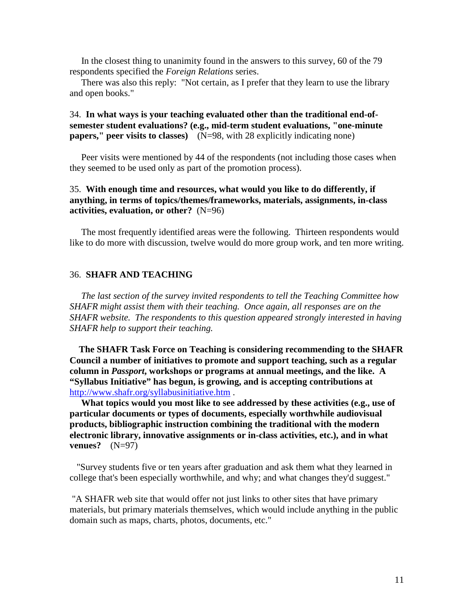In the closest thing to unanimity found in the answers to this survey, 60 of the 79 respondents specified the *Foreign Relations* series.

 There was also this reply: "Not certain, as I prefer that they learn to use the library and open books."

# 34. **In what ways is your teaching evaluated other than the traditional end-ofsemester student evaluations? (e.g., mid-term student evaluations, "one-minute papers," peer visits to classes)** (N=98, with 28 explicitly indicating none)

 Peer visits were mentioned by 44 of the respondents (not including those cases when they seemed to be used only as part of the promotion process).

# 35. **With enough time and resources, what would you like to do differently, if anything, in terms of topics/themes/frameworks, materials, assignments, in-class activities, evaluation, or other?** (N=96)

 The most frequently identified areas were the following. Thirteen respondents would like to do more with discussion, twelve would do more group work, and ten more writing.

### 36. **SHAFR AND TEACHING**

 *The last section of the survey invited respondents to tell the Teaching Committee how SHAFR might assist them with their teaching. Once again, all responses are on the SHAFR website. The respondents to this question appeared strongly interested in having SHAFR help to support their teaching.* 

**The SHAFR Task Force on Teaching is considering recommending to the SHAFR Council a number of initiatives to promote and support teaching, such as a regular column in** *Passport***, workshops or programs at annual meetings, and the like. A "Syllabus Initiative" has begun, is growing, and is accepting contributions at** http://www.shafr.org/syllabusinitiative.htm .

 **What topics would you most like to see addressed by these activities (e.g., use of particular documents or types of documents, especially worthwhile audiovisual products, bibliographic instruction combining the traditional with the modern electronic library, innovative assignments or in-class activities, etc.), and in what venues?** (N=97)

 "Survey students five or ten years after graduation and ask them what they learned in college that's been especially worthwhile, and why; and what changes they'd suggest."

 "A SHAFR web site that would offer not just links to other sites that have primary materials, but primary materials themselves, which would include anything in the public domain such as maps, charts, photos, documents, etc."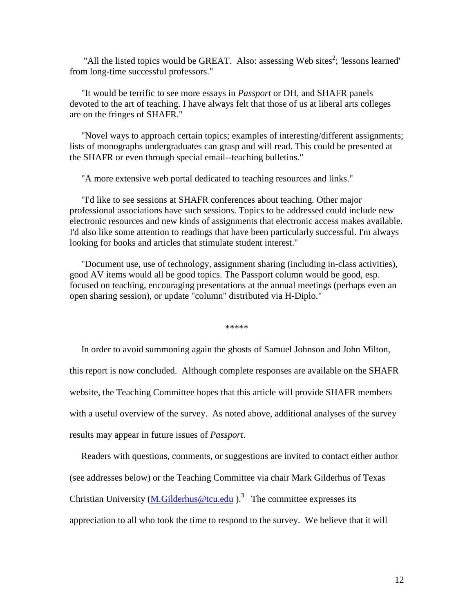"All the listed topics would be GREAT. Also: assessing Web sites<sup>2</sup>; 'lessons learned' from long-time successful professors."

 "It would be terrific to see more essays in *Passport* or DH, and SHAFR panels devoted to the art of teaching. I have always felt that those of us at liberal arts colleges are on the fringes of SHAFR."

 "Novel ways to approach certain topics; examples of interesting/different assignments; lists of monographs undergraduates can grasp and will read. This could be presented at the SHAFR or even through special email--teaching bulletins."

"A more extensive web portal dedicated to teaching resources and links."

 "I'd like to see sessions at SHAFR conferences about teaching. Other major professional associations have such sessions. Topics to be addressed could include new electronic resources and new kinds of assignments that electronic access makes available. I'd also like some attention to readings that have been particularly successful. I'm always looking for books and articles that stimulate student interest."

 "Document use, use of technology, assignment sharing (including in-class activities), good AV items would all be good topics. The Passport column would be good, esp. focused on teaching, encouraging presentations at the annual meetings (perhaps even an open sharing session), or update "column" distributed via H-Diplo."

\*\*\*\*\*

 In order to avoid summoning again the ghosts of Samuel Johnson and John Milton, this report is now concluded. Although complete responses are available on the SHAFR website, the Teaching Committee hopes that this article will provide SHAFR members with a useful overview of the survey. As noted above, additional analyses of the survey results may appear in future issues of *Passport*.

 Readers with questions, comments, or suggestions are invited to contact either author (see addresses below) or the Teaching Committee via chair Mark Gilderhus of Texas Christian University  $(M.Gilderhus@tcu.edu)$ .<sup>3</sup> The committee expresses its appreciation to all who took the time to respond to the survey. We believe that it will